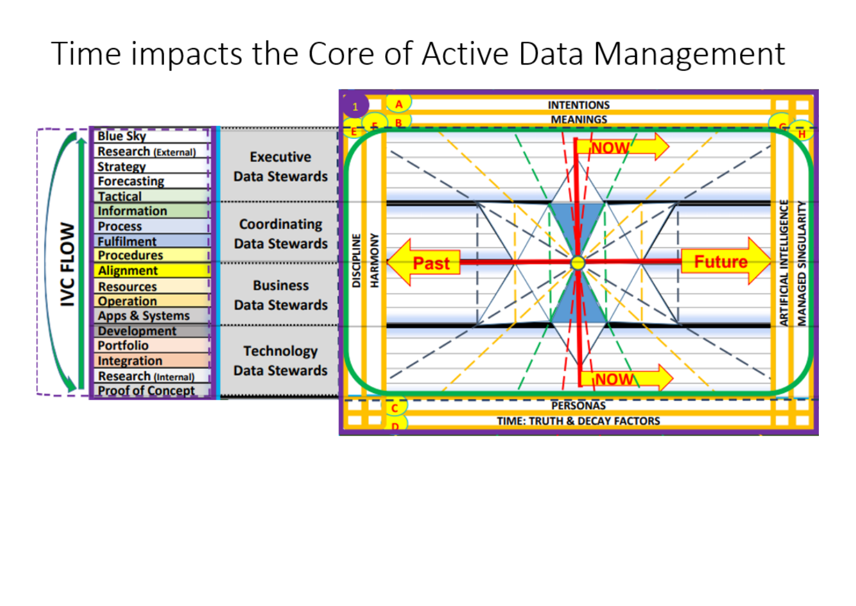## Time impacts the Core of Active Data Management

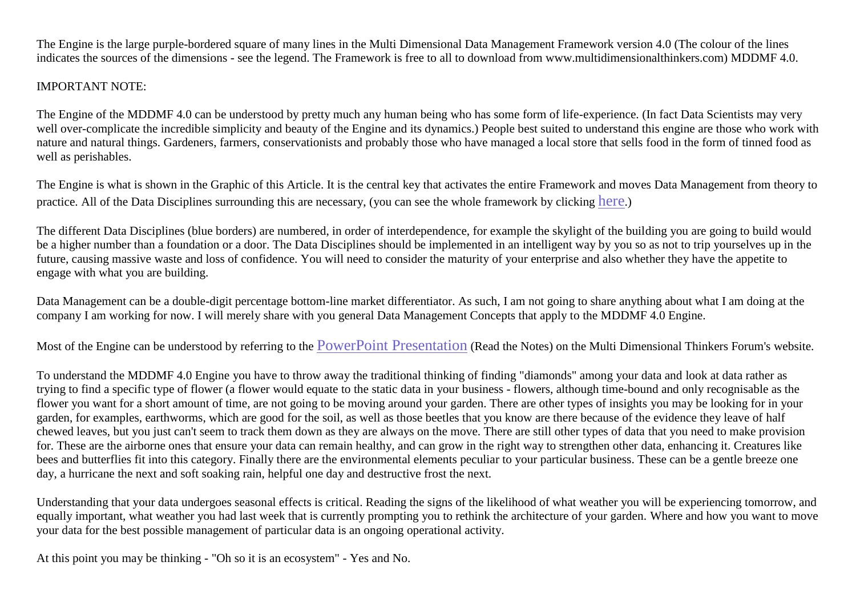The Engine is the large purple-bordered square of many lines in the Multi Dimensional Data Management Framework version 4.0 (The colour of the lines indicates the sources of the dimensions - see the legend. The Framework is free to all to download from www.multidimensionalthinkers.com) MDDMF 4.0.

## IMPORTANT NOTE:

The Engine of the MDDMF 4.0 can be understood by pretty much any human being who has some form of life-experience. (In fact Data Scientists may very well over-complicate the incredible simplicity and beauty of the Engine and its dynamics.) People best suited to understand this engine are those who work with nature and natural things. Gardeners, farmers, conservationists and probably those who have managed a local store that sells food in the form of tinned food as well as perishables.

The Engine is what is shown in the Graphic of this Article. It is the central key that activates the entire Framework and moves Data Management from theory to practice. All of the Data Disciplines surrounding this are necessary, (you can see the whole framework by clicking [here](http://multidimensionalthinkers.com/gallery/wre%20-%20the%20multi%20dimensional%20(v4.0)%20data%20management%20framework%20(a3%20electronic)%2020181020.pdf).)

The different Data Disciplines (blue borders) are numbered, in order of interdependence, for example the skylight of the building you are going to build would be a higher number than a foundation or a door. The Data Disciplines should be implemented in an intelligent way by you so as not to trip yourselves up in the future, causing massive waste and loss of confidence. You will need to consider the maturity of your enterprise and also whether they have the appetite to engage with what you are building.

Data Management can be a double-digit percentage bottom-line market differentiator. As such, I am not going to share anything about what I am doing at the company I am working for now. I will merely share with you general Data Management Concepts that apply to the MDDMF 4.0 Engine.

Most of the Engine can be understood by referring to the PowerPoint [Presentation](http://multidimensionalthinkers.com/The-Data-Management-Framework-Explained/) (Read the Notes) on the Multi Dimensional Thinkers Forum's website.

To understand the MDDMF 4.0 Engine you have to throw away the traditional thinking of finding "diamonds" among your data and look at data rather as trying to find a specific type of flower (a flower would equate to the static data in your business - flowers, although time-bound and only recognisable as the flower you want for a short amount of time, are not going to be moving around your garden. There are other types of insights you may be looking for in your garden, for examples, earthworms, which are good for the soil, as well as those beetles that you know are there because of the evidence they leave of half chewed leaves, but you just can't seem to track them down as they are always on the move. There are still other types of data that you need to make provision for. These are the airborne ones that ensure your data can remain healthy, and can grow in the right way to strengthen other data, enhancing it. Creatures like bees and butterflies fit into this category. Finally there are the environmental elements peculiar to your particular business. These can be a gentle breeze one day, a hurricane the next and soft soaking rain, helpful one day and destructive frost the next.

Understanding that your data undergoes seasonal effects is critical. Reading the signs of the likelihood of what weather you will be experiencing tomorrow, and equally important, what weather you had last week that is currently prompting you to rethink the architecture of your garden. Where and how you want to move your data for the best possible management of particular data is an ongoing operational activity.

At this point you may be thinking - "Oh so it is an ecosystem" - Yes and No.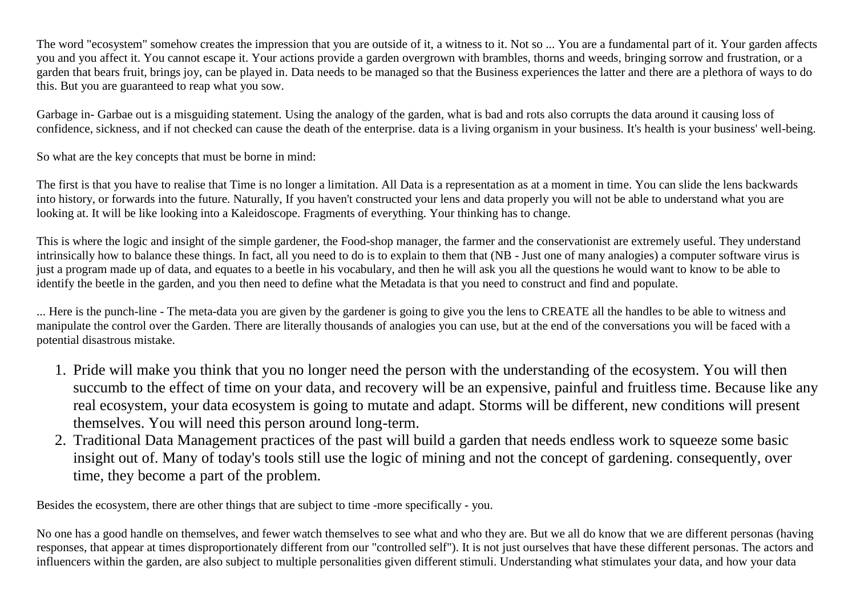The word "ecosystem" somehow creates the impression that you are outside of it, a witness to it. Not so ... You are a fundamental part of it. Your garden affects you and you affect it. You cannot escape it. Your actions provide a garden overgrown with brambles, thorns and weeds, bringing sorrow and frustration, or a garden that bears fruit, brings joy, can be played in. Data needs to be managed so that the Business experiences the latter and there are a plethora of ways to do this. But you are guaranteed to reap what you sow.

Garbage in- Garbae out is a misguiding statement. Using the analogy of the garden, what is bad and rots also corrupts the data around it causing loss of confidence, sickness, and if not checked can cause the death of the enterprise. data is a living organism in your business. It's health is your business' well-being.

So what are the key concepts that must be borne in mind:

The first is that you have to realise that Time is no longer a limitation. All Data is a representation as at a moment in time. You can slide the lens backwards into history, or forwards into the future. Naturally, If you haven't constructed your lens and data properly you will not be able to understand what you are looking at. It will be like looking into a Kaleidoscope. Fragments of everything. Your thinking has to change.

This is where the logic and insight of the simple gardener, the Food-shop manager, the farmer and the conservationist are extremely useful. They understand intrinsically how to balance these things. In fact, all you need to do is to explain to them that (NB - Just one of many analogies) a computer software virus is just a program made up of data, and equates to a beetle in his vocabulary, and then he will ask you all the questions he would want to know to be able to identify the beetle in the garden, and you then need to define what the Metadata is that you need to construct and find and populate.

... Here is the punch-line - The meta-data you are given by the gardener is going to give you the lens to CREATE all the handles to be able to witness and manipulate the control over the Garden. There are literally thousands of analogies you can use, but at the end of the conversations you will be faced with a potential disastrous mistake.

- 1. Pride will make you think that you no longer need the person with the understanding of the ecosystem. You will then succumb to the effect of time on your data, and recovery will be an expensive, painful and fruitless time. Because like any real ecosystem, your data ecosystem is going to mutate and adapt. Storms will be different, new conditions will present themselves. You will need this person around long-term.
- 2. Traditional Data Management practices of the past will build a garden that needs endless work to squeeze some basic insight out of. Many of today's tools still use the logic of mining and not the concept of gardening. consequently, over time, they become a part of the problem.

Besides the ecosystem, there are other things that are subject to time -more specifically - you.

No one has a good handle on themselves, and fewer watch themselves to see what and who they are. But we all do know that we are different personas (having responses, that appear at times disproportionately different from our "controlled self"). It is not just ourselves that have these different personas. The actors and influencers within the garden, are also subject to multiple personalities given different stimuli. Understanding what stimulates your data, and how your data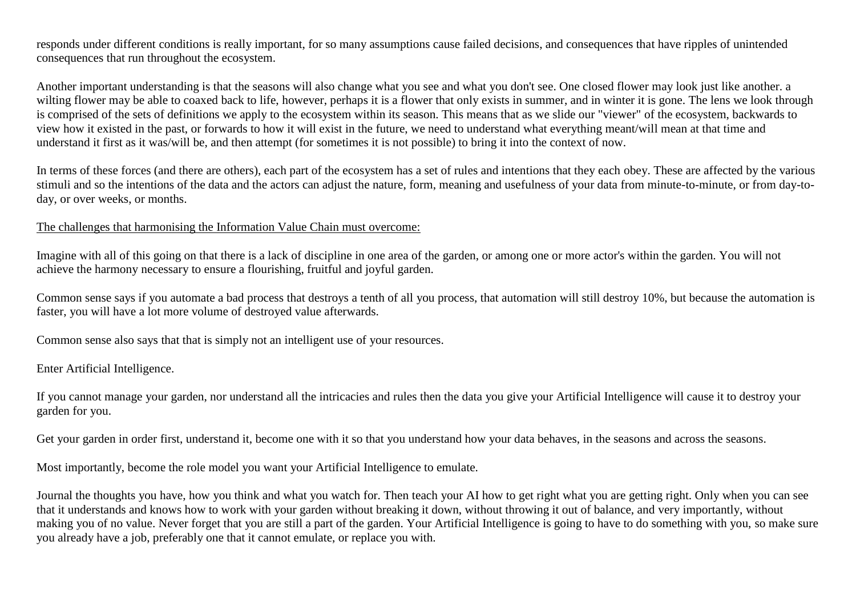responds under different conditions is really important, for so many assumptions cause failed decisions, and consequences that have ripples of unintended consequences that run throughout the ecosystem.

Another important understanding is that the seasons will also change what you see and what you don't see. One closed flower may look just like another. a wilting flower may be able to coaxed back to life, however, perhaps it is a flower that only exists in summer, and in winter it is gone. The lens we look through is comprised of the sets of definitions we apply to the ecosystem within its season. This means that as we slide our "viewer" of the ecosystem, backwards to view how it existed in the past, or forwards to how it will exist in the future, we need to understand what everything meant/will mean at that time and understand it first as it was/will be, and then attempt (for sometimes it is not possible) to bring it into the context of now.

In terms of these forces (and there are others), each part of the ecosystem has a set of rules and intentions that they each obey. These are affected by the various stimuli and so the intentions of the data and the actors can adjust the nature, form, meaning and usefulness of your data from minute-to-minute, or from day-today, or over weeks, or months.

## The challenges that harmonising the Information Value Chain must overcome:

Imagine with all of this going on that there is a lack of discipline in one area of the garden, or among one or more actor's within the garden. You will not achieve the harmony necessary to ensure a flourishing, fruitful and joyful garden.

Common sense says if you automate a bad process that destroys a tenth of all you process, that automation will still destroy 10%, but because the automation is faster, you will have a lot more volume of destroyed value afterwards.

Common sense also says that that is simply not an intelligent use of your resources.

Enter Artificial Intelligence.

If you cannot manage your garden, nor understand all the intricacies and rules then the data you give your Artificial Intelligence will cause it to destroy your garden for you.

Get your garden in order first, understand it, become one with it so that you understand how your data behaves, in the seasons and across the seasons.

Most importantly, become the role model you want your Artificial Intelligence to emulate.

Journal the thoughts you have, how you think and what you watch for. Then teach your AI how to get right what you are getting right. Only when you can see that it understands and knows how to work with your garden without breaking it down, without throwing it out of balance, and very importantly, without making you of no value. Never forget that you are still a part of the garden. Your Artificial Intelligence is going to have to do something with you, so make sure you already have a job, preferably one that it cannot emulate, or replace you with.